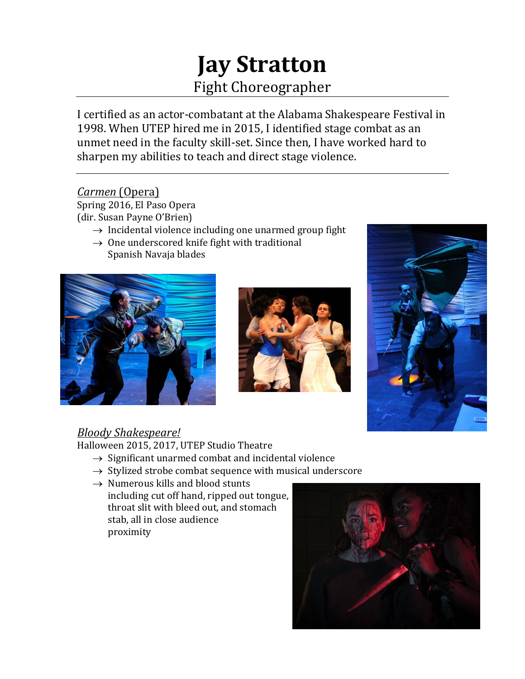# **Jay Stratton** Fight Choreographer

I certified as an actor-combatant at the Alabama Shakespeare Festival in 1998. When UTEP hired me in 2015, I identified stage combat as an unmet need in the faculty skill-set. Since then, I have worked hard to sharpen my abilities to teach and direct stage violence.

# *Carmen* (Opera)

Spring 2016, El Paso Opera (dir. Susan Payne O'Brien)

- $\rightarrow$  Incidental violence including one unarmed group fight
- $\rightarrow$  One underscored knife fight with traditional Spanish Navaja blades







# *Bloody Shakespeare!*

Halloween 2015, 2017, UTEP Studio Theatre

- $\rightarrow$  Significant unarmed combat and incidental violence
- $\rightarrow$  Stylized strobe combat sequence with musical underscore
- $\rightarrow$  Numerous kills and blood stunts including cut off hand, ripped out tongue, throat slit with bleed out, and stomach stab, all in close audience proximity